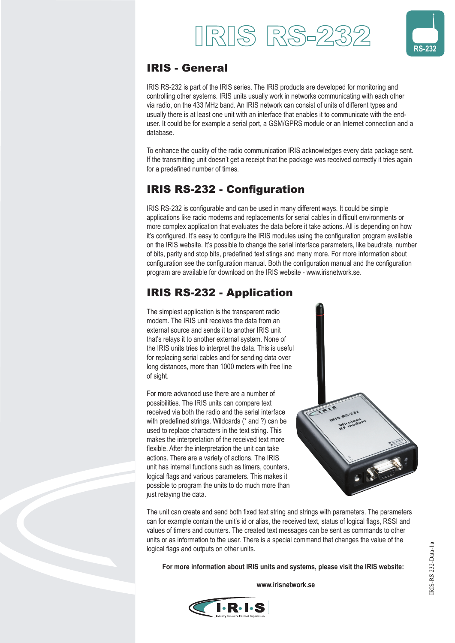



### IRIS - General

IRIS RS-232 is part of the IRIS series. The IRIS products are developed for monitoring and controlling other systems. IRIS units usually work in networks communicating with each other via radio, on the 433 MHz band. An IRIS network can consist of units of different types and usually there is at least one unit with an interface that enables it to communicate with the enduser. It could be for example a serial port, a GSM/GPRS module or an Internet connection and a database.

To enhance the quality of the radio communication IRIS acknowledges every data package sent. If the transmitting unit doesn't get a receipt that the package was received correctly it tries again for a predefined number of times.

# **IRIS RS-232 - Configuration**

IRIS RS-232 is configurable and can be used in many different ways. It could be simple applications like radio modems and replacements for serial cables in difficult environments or more complex application that evaluates the data before it take actions. All is depending on how it's configured. It's easy to configure the IRIS modules using the configuration program available on the IRIS website. It's possible to change the serial interface parameters, like baudrate, number of bits, parity and stop bits, predefined text stings and many more. For more information about configuration see the configuration manual. Both the configuration manual and the configuration program are available for download on the IRIS website - www.irisnetwork.se.

## IRIS RS-232 - Application

The simplest application is the transparent radio modem. The IRIS unit receives the data from an external source and sends it to another IRIS unit that's relays it to another external system. None of the IRIS units tries to interpret the data. This is useful for replacing serial cables and for sending data over long distances, more than 1000 meters with free line of sight.

For more advanced use there are a number of possibilities. The IRIS units can compare text received via both the radio and the serial interface with predefined strings. Wildcards (\* and ?) can be used to replace characters in the text string. This makes the interpretation of the received text more flexible. After the interpretation the unit can take actions. There are a variety of actions. The IRIS unit has internal functions such as timers, counters, logical flags and various parameters. This makes it possible to program the units to do much more than just relaying the data.



The unit can create and send both fixed text string and strings with parameters. The parameters can for example contain the unit's id or alias, the received text, status of logical flags, RSSI and values of timers and counters. The created text messages can be sent as commands to other units or as information to the user. There is a special command that changes the value of the logical flags and outputs on other units.

 **For more information about IRIS units and systems, please visit the IRIS website:**

 **www.irisnetwork.se**

IRIS-RS 232-Data-1a

RIS-RS 232-Data-1a